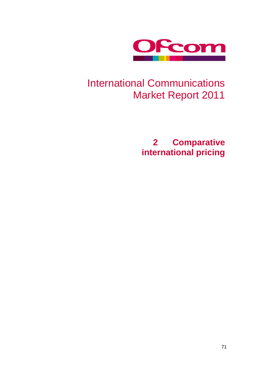

# International Communications Market Report 2011

**2 Comparative international pricing**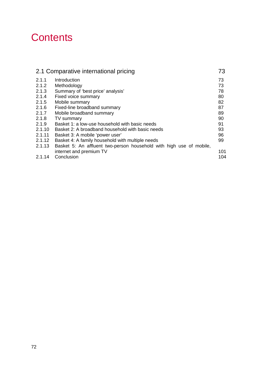# **Contents**

|        | 2.1 Comparative international pricing                               | 73  |
|--------|---------------------------------------------------------------------|-----|
| 2.1.1  | Introduction                                                        | 73  |
| 2.1.2  | Methodology                                                         | 73  |
| 2.1.3  | Summary of 'best price' analysis'                                   | 78  |
| 2.1.4  | Fixed voice summary                                                 | 80  |
| 2.1.5  | Mobile summary                                                      | 82  |
| 2.1.6  | Fixed-line broadband summary                                        | 87  |
| 2.1.7  | Mobile broadband summary                                            | 89  |
| 2.1.8  | TV summary                                                          | 90  |
| 2.1.9  | Basket 1: a low-use household with basic needs                      | 91  |
| 2.1.10 | Basket 2: A broadband household with basic needs                    | 93  |
| 2.1.11 | Basket 3: A mobile 'power user'                                     | 96  |
| 2.1.12 | Basket 4: A family household with multiple needs                    | 99  |
| 2.1.13 | Basket 5: An affluent two-person household with high use of mobile, |     |
|        | internet and premium TV                                             | 101 |
| 2.1.14 | Conclusion                                                          | 104 |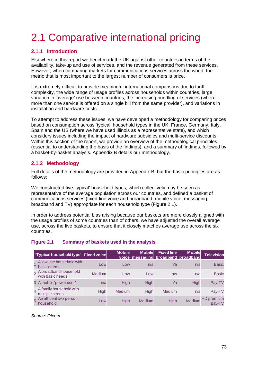# <span id="page-2-0"></span>2.1 Comparative international pricing

# <span id="page-2-1"></span>**2.1.1 Introduction**

Elsewhere in this report we benchmark the UK against other countries in terms of the availability, take-up and use of services, and the revenue generated from these services. However, when comparing markets for communications services across the world, the metric that is most important to the largest number of consumers is price.

It is extremely difficult to provide meaningful international comparisons due to tariff complexity, the wide range of usage profiles across households within countries, large variation in 'average' use between countries, the increasing bundling of services (where more than one service is offered on a single bill from the same provider), and variations in installation and hardware costs.

To attempt to address these issues, we have developed a methodology for comparing prices based on consumption across 'typical' household types in the UK, France, Germany, Italy, Spain and the US (where we have used Illinois as a representative state), and which considers issues including the impact of hardware subsidies and multi-service discounts. Within this section of the report, we provide an overview of the methodological principles (essential to understanding the basis of the findings), and a summary of findings, followed by a basket-by-basket analysis. Appendix B details our methodology.

# <span id="page-2-2"></span>**2.1.2 Methodology**

Full details of the methodology are provided in Appendix B, but the basic principles are as follows:

We constructed five 'typical' household types, which collectively may be seen as representative of the average population across our countries, and defined a basket of communications services (fixed-line voice and broadband, mobile voice, messaging, broadband and TV) appropriate for each household type [\(Figure 2.1\)](#page-2-3).

In order to address potential bias arising because our baskets are more closely aligned with the usage profiles of some countries than of others, we have adjusted the overall average use, across the five baskets, to ensure that it closely matches average use across the six countries.

## <span id="page-2-3"></span>**Figure 2.1 Summary of baskets used in the analysis**

|                | 'Typical household type' Fixed voice        |               | <b>Mobile</b> | <b>Mobile</b> | <b>Fixed line</b><br>voice messaging broadband broadband | <b>Mobile</b> | <b>Television</b>    |
|----------------|---------------------------------------------|---------------|---------------|---------------|----------------------------------------------------------|---------------|----------------------|
|                | A low use household with<br>basic needs     | Low           | Low           | n/a           | n/a                                                      | n/a           | <b>Basic</b>         |
|                | 2 A broadband household<br>with basic needs | <b>Medium</b> | Low           | Low           | Low                                                      | n/a           | <b>Basic</b>         |
|                | 3 A mobile 'power user'                     | n/a           | High          | High          | n/a                                                      | High          | Pay-TV               |
| $\overline{4}$ | A family household with<br>multiple needs   | High          | <b>Medium</b> | High          | <b>Medium</b>                                            | n/a           | Pay-TV               |
|                | 5 An affluent two person<br>household       | Low           | High          | Medium        | High                                                     | Medium        | HD premium<br>pay-TV |

*Source: Ofcom*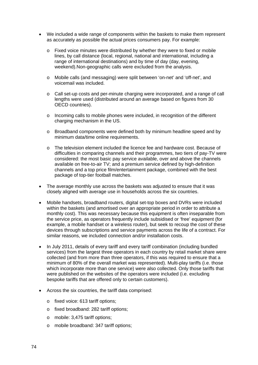- We included a wide range of components within the baskets to make them represent as accurately as possible the actual prices consumers pay. For example:
	- o Fixed voice minutes were distributed by whether they were to fixed or mobile lines, by call distance (local, regional, national and international, including a range of international destinations) and by time of day (day, evening, weekend).Non-geographic calls were excluded from the analysis.
	- o Mobile calls (and messaging) were split between 'on-net' and 'off-net', and voicemail was included.
	- o Call set-up costs and per-minute charging were incorporated, and a range of call lengths were used (distributed around an average based on figures from 30 OECD countries).
	- o Incoming calls to mobile phones were included, in recognition of the different charging mechanism in the US.
	- o Broadband components were defined both by minimum headline speed and by minimum data/time online requirements.
	- o The television element included the licence fee and hardware cost. Because of difficulties in comparing channels and their programmes, two tiers of pay-TV were considered: the most basic pay service available, over and above the channels available on free-to-air TV; and a premium service defined by high-definition channels and a top price film/entertainment package, combined with the best package of top-tier football matches.
- The average monthly use across the baskets was adjusted to ensure that it was closely aligned with average use in households across the six countries.
- Mobile handsets, broadband routers, digital set-top boxes and DVRs were included within the baskets (and amortised over an appropriate period in order to attribute a monthly cost). This was necessary because this equipment is often inseparable from the service price, as operators frequently include subsidised or 'free' equipment (for example, a mobile handset or a wireless router), but seek to recoup the cost of these devices through subscriptions and service payments across the life of a contract. For similar reasons, we included connection and/or installation costs.
- In July 2011, details of every tariff and every tariff combination (including bundled services) from the largest three operators in each country by retail market share were collected (and from more than three operators, if this was required to ensure that a minimum of 80% of the overall market was represented). Multi-play tariffs (i.e. those which incorporate more than one service) were also collected. Only those tariffs that were published on the websites of the operators were included (i.e. excluding bespoke tariffs that are offered only to certain customers).
- Across the six countries, the tariff data comprised:
	- o fixed voice: 613 tariff options;
	- o fixed broadband: 282 tariff options;
	- o mobile: 3,475 tariff options;
	- o mobile broadband: 347 tariff options;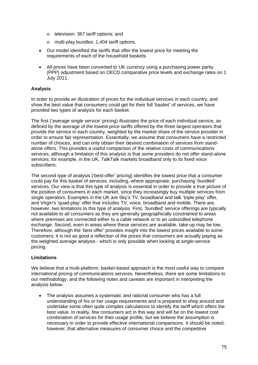- o television: 367 tariff options; and
- o multi-play bundles: 1,404 tariff options.
- Our model identified the tariffs that offer the lowest price for meeting the requirements of each of the household baskets.
- All prices have been converted to UK currency using a purchasing power parity (PPP) adjustment based on OECD comparative price levels and exchange rates on 1 July 2011.

## **Analysis**

In order to provide an illustration of prices for the individual services in each country, and show the best value that consumers could get for their full 'basket' of services, we have provided two types of analysis for each basket.

The first ('average single service' pricing) illustrates the price of each individual service, as defined by the average of the lowest-price tariffs offered by the three largest operators that provide the service in each country, weighted by the market share of the service provider in order to ensure fair representation. Essentially, we assume that consumers have a restricted number of choices, and can only obtain their desired combination of services from standalone offers. This provides a useful comparison of the relative costs of communications services, although a limitation of this analysis is that some providers do not offer stand-alone services: for example, in the UK, TalkTalk markets broadband only to its fixed voice subscribers.

The second type of analysis ('best-offer' pricing) identifies the lowest price that a consumer could pay for this basket of services, including, where appropriate, purchasing 'bundled' services. Our view is that this type of analysis is essential in order to provide a true picture of the position of consumers in each market, since they increasingly buy multiple services from single operators. Examples in the UK are Sky's TV, broadband and talk 'triple-play' offer, and Virgin's 'quad-play' offer that includes TV, voice, broadband and mobile. There are, however, two limitations to this type of analysis. First, 'bundled' service offerings are typically not available to all consumers as they are generally geographically constrained to areas where premises are connected either to a cable network or to an unbundled telephone exchange. Second, even in areas where these services are available, take-up may be low. Therefore, although the 'best offer' provides insight into the lowest prices available to some customers, it is not as good a reflection of the prices that consumers are actually paying as the weighted average analysis - which is only possible when looking at single-service pricing.

## **Limitations**

We believe that a multi-platform, basket-based approach is the most useful way to compare international pricing of communications services. Nevertheless, there are some limitations to our methodology, and the following notes and caveats are important in interpreting the analysis below.

• The analysis assumes a systematic and rational consumer who has a full understanding of his or her usage requirements and is prepared to shop around and undertake some often quite complex calculations to identify the tariff which offers the best value. In reality, few consumers act in this way and will be on the lowest cost combination of services for their usage profile, but we believe the assumption is necessary in order to provide effective international comparisons. It should be noted, however, that alternative measures of consumer choice and the competitive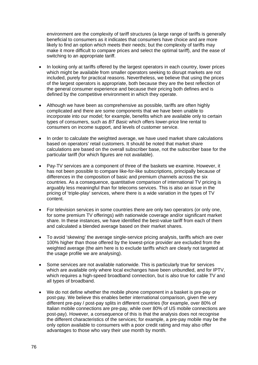environment are the complexity of tariff structures (a large range of tariffs is generally beneficial to consumers as it indicates that consumers have choice and are more likely to find an option which meets their needs; but the complexity of tariffs may make it more difficult to compare prices and select the optimal tariff), and the ease of switching to an appropriate tariff.

- In looking only at tariffs offered by the largest operators in each country, lower prices which might be available from smaller operators seeking to disrupt markets are not included, purely for practical reasons. Nevertheless, we believe that using the prices of the largest operators is appropriate, both because they are the best reflection of the general consumer experience and because their pricing both defines and is defined by the competitive environment in which they operate.
- Although we have been as comprehensive as possible, tariffs are often highly complicated and there are some components that we have been unable to incorporate into our model; for example, benefits which are available only to certain types of consumers, such as *BT Basic* which offers lower-price line rental to consumers on income support, and levels of customer service.
- In order to calculate the weighted average, we have used market share calculations based on operators' retail customers. It should be noted that market share calculations are based on the overall subscriber base, not the subscriber base for the particular tariff (for which figures are not available).
- Pay-TV services are a component of three of the baskets we examine. However, it has not been possible to compare like-for-like subscriptions, principally because of differences in the composition of basic and premium channels across the six countries. As a consequence, quantitative comparison of international TV pricing is arguably less meaningful than for telecoms services. This is also an issue in the pricing of 'triple-play' services, where there is a wide variation in the types of TV content.
- For television services in some countries there are only two operators (or only one, for some premium TV offerings) with nationwide coverage and/or significant market share. In these instances, we have identified the best-value tariff from each of them and calculated a blended average based on their market shares.
- To avoid 'skewing' the average single-service pricing analysis, tariffs which are over 100% higher than those offered by the lowest-price provider are excluded from the weighted average (the aim here is to exclude tariffs which are clearly not targeted at the usage profile we are analysing).
- Some services are not available nationwide. This is particularly true for services which are available only where local exchanges have been unbundled, and for IPTV, which requires a high-speed broadband connection, but is also true for cable TV and all types of broadband.
- We do not define whether the mobile phone component in a basket is pre-pay or post-pay. We believe this enables better international comparison, given the very different pre-pay / post-pay splits in different countries (for example, over 80% of Italian mobile connections are pre-pay, while over 80% of US mobile connections are post-pay). However, a consequence of this is that the analysis does not recognise the different characteristics of the services; for example, a pre-pay mobile may be the only option available to consumers with a poor credit rating and may also offer advantages to those who vary their use month by month.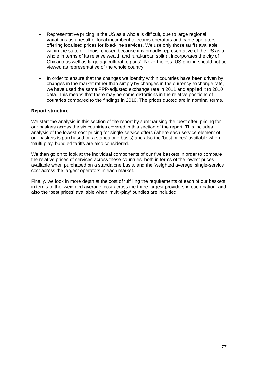- Representative pricing in the US as a whole is difficult, due to large regional variations as a result of local incumbent telecoms operators and cable operators offering localised prices for fixed-line services. We use only those tariffs available within the state of Illinois, chosen because it is broadly representative of the US as a whole in terms of its relative wealth and rural-urban split (it incorporates the city of Chicago as well as large agricultural regions). Nevertheless, US pricing should not be viewed as representative of the whole country.
- In order to ensure that the changes we identify within countries have been driven by changes in the market rather than simply by changes in the currency exchange rate, we have used the same PPP-adjusted exchange rate in 2011 and applied it to 2010 data. This means that there may be some distortions in the relative positions of countries compared to the findings in 2010. The prices quoted are in nominal terms.

## **Report structure**

We start the analysis in this section of the report by summarising the 'best offer' pricing for our baskets across the six countries covered in this section of the report. This includes analysis of the lowest-cost pricing for single-service offers (where each service element of our baskets is purchased on a standalone basis) and also the 'best prices' available when 'multi-play' bundled tariffs are also considered.

We then go on to look at the individual components of our five baskets in order to compare the relative prices of services across these countries, both in terms of the lowest prices available when purchased on a standalone basis, and the 'weighted average' single-service cost across the largest operators in each market.

Finally, we look in more depth at the cost of fulfilling the requirements of each of our baskets in terms of the 'weighted average' cost across the three largest providers in each nation, and also the 'best prices' available when 'multi-play' bundles are included.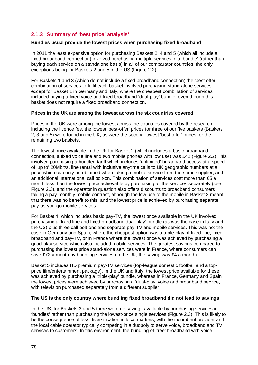# **2.1.3 Summary of 'best price' analysis'**

## <span id="page-7-0"></span>**Bundles usual provide the lowest prices when purchasing fixed broadband**

In 2011 the least expensive option for purchasing Baskets 2, 4 and 5 (which all include a fixed broadband connection) involved purchasing multiple services in a 'bundle' (rather than buying each service on a standalone basis) in all of our comparator countries, the only exceptions being for Baskets 2 and 5 in the US [\(Figure 2.2\)](#page-8-0).

For Baskets 1 and 3 (which do not include a fixed broadband connection) the 'best offer' combination of services to fulfil each basket involved purchasing stand-alone services except for Basket 1 in Germany and Italy, where the cheapest combination of services included buying a fixed voice and fixed broadband 'dual-play' bundle, even though this basket does not require a fixed broadband connection.

#### **Prices in the UK are among the lowest across the six countries covered**

Prices in the UK were among the lowest across the countries covered by the research: including the licence fee, the lowest 'best-offer' prices for three of our five baskets (Baskets 2, 3 and 5) were found in the UK, as were the second-lowest 'best offer' prices for the remaining two baskets.

The lowest price available in the UK for Basket 2 (which includes a basic broadband connection, a fixed voice line and two mobile phones with low use) was £42 [\(Figure 2.2\)](#page-8-0) This involved purchasing a bundled tariff which includes 'unlimited' broadband access at a speed of 'up to' 20Mbit/s, line rental with inclusive anytime calls to UK geographic numbers at a price which can only be obtained when taking a mobile service from the same supplier, and an additional international call bolt-on. This combination of services cost more than £5 a month less than the lowest price achievable by purchasing all the services separately (see [Figure 2.3\)](#page-9-1), and the operator in question also offers discounts to broadband consumers taking a pay-monthly mobile contract, although the low use of the mobile in Basket 2 meant that there was no benefit to this, and the lowest price is achieved by purchasing separate pay-as-you-go mobile services.

For Basket 4, which includes basic pay-TV, the lowest price available in the UK involved purchasing a 'fixed line and fixed broadband dual-play' bundle (as was the case in Italy and the US) plus three call bolt-ons and separate pay-TV and mobile services. This was not the case in Germany and Spain, where the cheapest option was a triple-play of fixed line, fixed broadband and pay-TV, or in France where the lowest price was achieved by purchasing a quad-play service which also included mobile services. The greatest savings compared to purchasing the lowest price stand-alone services were in France, where consumers can save £72 a month by bundling services (in the UK, the saving was £4 a month).

Basket 5 includes HD premium pay-TV services (top-league domestic football and a topprice film/entertainment package). In the UK and Italy, the lowest price available for these was achieved by purchasing a 'triple-play' bundle, whereas in France, Germany and Spain the lowest prices were achieved by purchasing a 'dual-play' voice and broadband service, with television purchased separately from a different supplier.

#### **The US is the only country where bundling fixed broadband did not lead to savings**

In the US, for Baskets 2 and 5 there were no savings available by purchasing services in 'bundles' rather than purchasing the lowest-price single services [\(Figure 2.3\)](#page-9-1). This is likely to be the consequence of less diversification in local markets, with the incumbent provider and the local cable operator typically competing in a duopoly to serve voice, broadband and TV services to customers. In this environment, the bundling of 'free' broadband with voice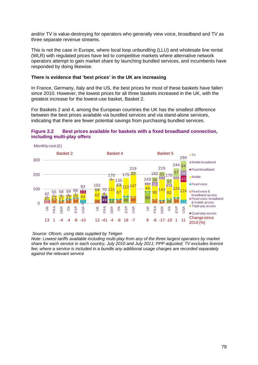and/or TV is value-destroying for operators who generally view voice, broadband and TV as three separate revenue streams.

This is not the case in Europe, where local loop unbundling (LLU) and wholesale line rental (WLR) with regulated prices have led to competitive markets where alternative network operators attempt to gain market share by launching bundled services, and incumbents have responded by doing likewise.

#### **There is evidence that 'best prices' in the UK are increasing**

In France, Germany, Italy and the US, the best prices for most of these baskets have fallen since 2010. However, the lowest prices for all three baskets increased in the UK, with the greatest increase for the lowest-use basket, Basket 2.

For Baskets 2 and 4, among the European countries the UK has the smallest difference between the best prices available via bundled services and via stand-alone services, indicating that there are fewer potential savings from purchasing bundled services.

## <span id="page-8-0"></span>**Figure 2.2 Best prices available for baskets with a fixed broadband connection, including multi-play offers**



*Source: Ofcom, using data supplied by Teligen*

*Note: Lowest tariffs available including multi-play from any of the three largest operators by market share for each service in each country, July 2010 and July 2011; PPP adjusted; TV excludes licence fee; where a service is included in a bundle any additional usage charges are recorded separately against the relevant service*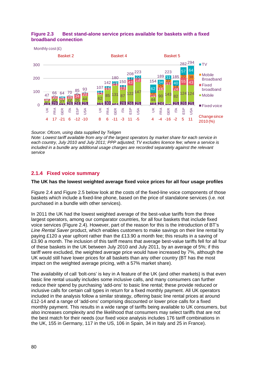## <span id="page-9-1"></span>**Figure 2.3 Best stand-alone service prices available for baskets with a fixed broadband connection**



*Source: Ofcom, using data supplied by Teligen*

*Note: Lowest tariff available from any of the largest operators by market share for each service in each country, July 2010 and July 2011; PPP adjusted; TV excludes licence fee; where a service is included in a bundle any additional usage charges are recorded separately against the relevant service*

## <span id="page-9-0"></span>**2.1.4 Fixed voice summary**

## **The UK has the lowest weighted average fixed voice prices for all four usage profiles**

[Figure 2.4](#page-10-0) and [Figure 2.5](#page-11-1) below look at the costs of the fixed-line voice components of those baskets which include a fixed-line phone, based on the price of standalone services (i.e. not purchased in a bundle with other services).

In 2011 the UK had the lowest weighted average of the best-value tariffs from the three largest operators, among our comparator countries, for all four baskets that include fixed voice services [\(Figure 2.4\)](#page-10-0). However, part of the reason for this is the introduction of BT's *Line Rental Saver* product, which enables customers to make savings on their line rental by paying £120 a year upfront rather than the £13.90 a month fee; this results in a saving of £3.90 a month. The inclusion of this tariff means that average best-value tariffs fell for all four of these baskets in the UK between July 2010 and July 2011, by an average of 5%; if this tariff were excluded, the weighted average price would have increased by 7%, although the UK would still have lower prices for all baskets than any other country (BT has the most impact on the weighted average pricing, with a 57% market share).

The availability of call 'bolt-ons' is key in A feature of the UK (and other markets) is that even basic line rental usually includes some inclusive calls, and many consumers can further reduce their spend by purchasing 'add-ons' to basic line rental; these provide reduced or inclusive calls for certain call types in return for a fixed monthly payment. All UK operators included in the analysis follow a similar strategy, offering basic line rental prices at around £12-14 and a range of 'add-ons' comprising discounted or lower price calls for a fixed monthly payment. This results in a wide range of tariffs being available to UK consumers, but also increases complexity and the likelihood that consumers may select tariffs that are not the best match for their needs (our fixed voice analysis includes 176 tariff combinations in the UK, 155 in Germany, 117 in the US, 106 in Spain, 34 in Italy and 25 in France).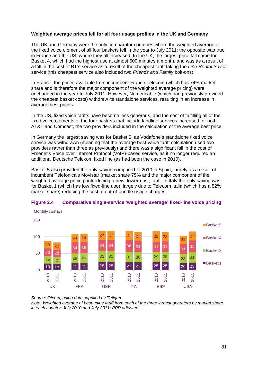## **Weighted average prices fell for all four usage profiles in the UK and Germany**

The UK and Germany were the only comparator countries where the weighted average of the fixed voice element of all four baskets fell in the year to July 2011; the opposite was true in France and the US, where they all increased. In the UK, the largest price fall came for Basket 4, which had the highest use at almost 600 minutes a month, and was as a result of a fall in the cost of BT's service as a result of the cheapest tariff taking the *Line Rental Saver* service (this cheapest service also included two *Friends and Family* bolt-ons).

In France, the prices available from incumbent France Telecom (which has 74% market share and is therefore the major component of the weighted average pricing) were unchanged in the year to July 2011. However, Numericable (which had previously provided the cheapest basket costs) withdrew its standalone services, resulting in an increase in average best prices.

In the US, fixed voice tariffs have become less generous, and the cost of fulfilling all of the fixed voice elements of the four baskets that include landline services increased for both AT&T and Comcast, the two providers included in the calculation of the average best price.

In Germany the largest saving was for Basket 5, as Vodafone's standalone fixed voice service was withdrawn (meaning that the average best-value tariff calculation used two providers rather than three as previously) and there was a significant fall in the cost of Freenet's Voice over Internet Protocol (VoIP)-based service, as it no longer required an additional Deutsche Telekom fixed line (as had been the case in 2010).

Basket 5 also provided the only saving compared to 2010 in Spain, largely as a result of incumbent Telefonica's Movistar (market share 75% and the major component of the weighted average pricing) introducing a new, lower-cost, tariff. In Italy the only saving was for Basket 1 (which has low fixed-line use), largely due to Telecom Italia (which has a 52% market share) reducing the cost of out-of-bundle usage charges.



#### <span id="page-10-0"></span>**Figure 2.4 Comparative single-service 'weighted average' fixed-line voice pricing**

*Source: Ofcom, using data supplied by Teligen*

*Note: Weighted average of best-value tariff from each of the three largest operators by market share in each country; July 2010 and July 2011; PPP adjusted*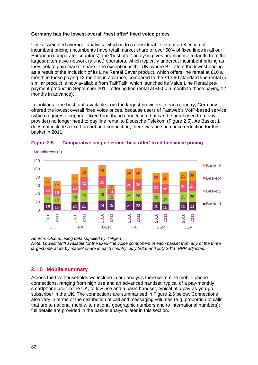## **Germany has the lowest overall 'best offer' fixed voice prices**

Unlike 'weighted average' analysis, which is to a considerable extent a reflection of incumbent pricing (incumbents have retail market share of over 50% of fixed lines in all our European comparator countries), the 'best offer' analysis gives prominence to tariffs from the largest alternative network (alt-net) operators, which typically undercut incumbent pricing as they look to gain market share. The exception is the UK, where BT offers the lowest pricing as a result of the inclusion of its Line Rental Saver product, which offers line rental at £10 a month to those paying 12 months in advance, compared to the £13.90 standard line rental (a similar product is now available from TalkTalk, which launched its Value Line Rental prepayment product in September 2011, offering line rental at £9.50 a month to those paying 12 months in advance).

In looking at the best tariff available from the largest providers in each country, Germany offered the lowest overall fixed voice prices, because users of Fastweb's VoIP-based service (which requires a separate fixed broadband connection that can be purchased from any provider) no longer need to pay line rental to Deutsche Telekom [\(Figure 2.5\)](#page-11-1). As Basket 1 does not include a fixed broadband connection, there was no such price reduction for this basket in 2011.



#### <span id="page-11-1"></span>**Figure 2.5 Comparative single-service 'best offer' fixed-line voice pricing**

*Source: Ofcom, using data supplied by Teligen Note: Lowest tariff available for the fixed-line voice component of each basket from any of the three largest operators by market share in each country, July 2010 and July 2011; PPP adjusted.* 

## <span id="page-11-0"></span>**2.1.5 Mobile summary**

Across the five households we include in our analysis there were nine mobile phone connections, ranging from high use and an advanced handset, typical of a pay-monthly smartphone user in the UK, to low use and a basic handset, typical of a pay-as-you-go subscriber in the UK. The connections are summarised in [Figure 2.6](#page-12-0) below. Connections also vary in terms of the distribution of call and messaging volumes (e.g. proportion of calls that are to national mobile, to national geographic numbers and to international numbers); full details are provided in the basket analysis later in this section.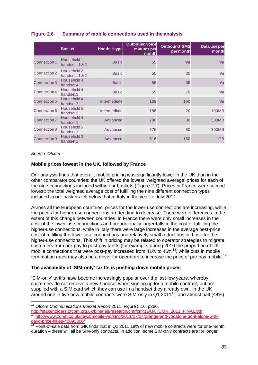|              | <b>Basket</b>                 | Handset type | Outbound voice<br>minutes per<br>month | <b>Outbound SMS</b><br>per month | Data use per<br>month |
|--------------|-------------------------------|--------------|----------------------------------------|----------------------------------|-----------------------|
| Connection 1 | Household 1<br>handsets 1 & 2 | <b>Basic</b> | 55                                     | n/a                              | n/a                   |
| Connection 2 | Household 2<br>handsets 1 & 2 | <b>Basic</b> | 55                                     | 30                               | n/a                   |
| Connection 3 | Household 4<br>handset 4      | <b>Basic</b> | 55                                     | 65                               | n/a                   |
| Connection 4 | Household 4<br>handset 3      | <b>Basic</b> | 55                                     | 70                               | n/a                   |
| Connection 5 | Household 4<br>handset 2      | Intermediate | 169                                    | 160                              | n/a                   |
| Connection 6 | Household 5<br>handset 2      | Intermediate | 188                                    | 20                               | <b>100MB</b>          |
| Connection 7 | Household 4<br>handset 1      | Advanced     | 280                                    | 30                               | <b>300MB</b>          |
| Connection 8 | Household 5<br>handset 1      | Advanced     | 376                                    | 80                               | 300MB                 |
| Connection 9 | Household 3<br>handset 1      | Advanced     | 516                                    | 150                              | 1GB                   |

## <span id="page-12-0"></span>**Figure 2.6 Summary of mobile connections used in the analysis**

*Source: Ofcom*

## **Mobile prices lowest in the UK, followed by France**

Our analysis finds that overall, mobile pricing was significantly lower in the UK than in the other comparator countries: the UK offered the lowest 'weighted average' prices for each of the nine connections included within our baskets [\(Figure 2.7\)](#page-13-0). Prices in France were second lowest; the total weighted average cost of fulfilling the nine different connection types included in our baskets fell below that in Italy in the year to July 2011.

Across all the European countries, prices for the lower-use connections are increasing, while the prices for higher-use connections are tending to decrease. There were differences in the extent of this change between countries: in France there were only small increases in the cost of the lower-use connections and proportionally larger falls in the cost of fulfilling the higher-use connections, while in Italy there were large increases in the average best-price cost of fulfilling the lower-use connections and relatively small reductions in those for the higher-use connections. This shift in pricing may be related to operator strategies to migrate customers from pre-pay to post-pay tariffs (for example, during 2010 the proportion of UK mobile connections that were post-pay increased from 41% to 46%<sup>[13](#page-12-1)</sup>, while cuts in mobile termination rates may also be a driver for operators to increase the price of pre-pay mobile.<sup>[14](#page-12-2)</sup>

## **The availability of 'SIM-only' tariffs is pushing down mobile prices**

'SIM-only' tariffs have become increasingly popular over the last few years, whereby customers do not receive a new handset when signing up for a mobile contract, but are supplied with a SIM card which they can use in a handset they already own. In the UK around one in five new mobile contracts were SIM-only in Q1 2011<sup>[15](#page-12-3)</sup>, and almost half (44%)

 <sup>13</sup> Ofcom *Communications Market Report* 2011, Figure 5.16, p260,

<span id="page-12-2"></span><span id="page-12-1"></span>[http://stakeholders.ofcom.org.uk/binaries/research/cmr/cmr11/UK\\_CMR\\_2011\\_FINAL.pdf](http://stakeholders.ofcom.org.uk/binaries/research/cmr/cmr11/UK_CMR_2011_FINAL.pdf) <sup>14</sup> [http://www.zdnet.co.uk/news/mobile-working/2011/07/04/orange-and-vodafone-go-it-alone-with](http://www.zdnet.co.uk/news/mobile-working/2011/07/04/orange-and-vodafone-go-it-alone-with-payg-price-hikes-40093300/)[payg-price-hikes-40093300/](http://www.zdnet.co.uk/news/mobile-working/2011/07/04/orange-and-vodafone-go-it-alone-with-payg-price-hikes-40093300/)

<span id="page-12-3"></span><sup>&</sup>lt;sup>15</sup> Point-of-sale data from GfK finds that in Q1 2011 19% of new mobile contracts were for one-month duration – these will all be SIM-only contracts. In addition, some SIM-only contracts are for longer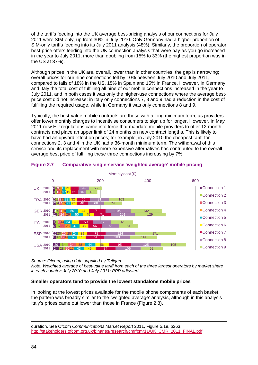of the tariffs feeding into the UK average best-pricing analysis of our connections for July 2011 were SIM-only, up from 30% in July 2010. Only Germany had a higher proportion of SIM-only tariffs feeding into its July 2011 analysis (48%). Similarly, the proportion of operator best-price offers feeding into the UK connection analysis that were pay-as-you-go increased in the year to July 2011, more than doubling from 15% to 33% (the highest proportion was in the US at 37%).

Although prices in the UK are, overall, lower than in other countries, the gap is narrowing; overall prices for our nine connections fell by 10% between July 2010 and July 2011, compared to falls of 18% in the US, 15% in Spain and 15% in France. However, in Germany and Italy the total cost of fulfilling all nine of our mobile connections increased in the year to July 2011, and in both cases it was only the higher-use connections where the average bestprice cost did not increase: in Italy only connections 7, 8 and 9 had a reduction in the cost of fulfilling the required usage, while in Germany it was only connections 8 and 9.

Typically, the best-value mobile contracts are those with a long minimum term, as providers offer lower monthly charges to incentivise consumers to sign up for longer. However, in May new EU regulations came into force that mandate mobile providers to offer 12-month contracts and place an upper limit of 24 months on new contract lengths. This is likely to have had an upward effect on prices; for example, in July 2010 the cheapest tariff for connections 2, 3 and 4 in the UK had a 36-month minimum term. The withdrawal of this service and its replacement with more expensive alternatives has contributed to the overall average best price of fulfilling these three connections increasing by 7%.



## <span id="page-13-0"></span>**Figure 2.7 Comparative single-service 'weighted average' mobile pricing**

*Source: Ofcom, using data supplied by Teligen*

*Note: Weighted average of best-value tariff from each of the three largest operators by market share in each country; July 2010 and July 2011; PPP adjusted*

## **Smaller operators tend to provide the lowest standalone mobile prices**

In looking at the lowest prices available for the mobile phone components of each basket, the pattern was broadly similar to the 'weighted average' analysis, although in this analysis Italy's prices came out lower than those in France [\(Figure 2.8\)](#page-14-0).

duration. See Ofcom *Communications Market Report* 2011, Figure 5.19, p263, [http://stakeholders.ofcom.org.uk/binaries/research/cmr/cmr11/UK\\_CMR\\_2011\\_FINAL.pdf](http://stakeholders.ofcom.org.uk/binaries/research/cmr/cmr11/UK_CMR_2011_FINAL.pdf)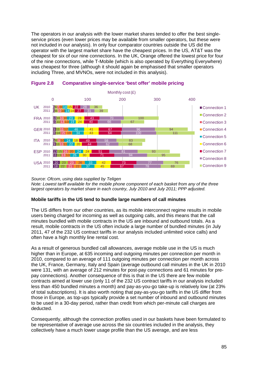The operators in our analysis with the lower market shares tended to offer the best singleservice prices (even lower prices may be available from smaller operators, but these were not included in our analysis). In only four comparator countries outside the US did the operator with the largest market share have the cheapest prices. In the US, AT&T was the cheapest for six of our nine connections. In the UK, Orange offered the lowest price for four of the nine connections, while T-Mobile (which is also operated by Everything Everywhere) was cheapest for three (although it should again be emphasised that smaller operators including Three, and MVNOs, were not included in this analysis).



<span id="page-14-0"></span>

*Source: Ofcom, using data supplied by Teligen Note: Lowest tariff available for the mobile phone component of each basket from any of the three largest operators by market share in each country, July 2010 and July 2011; PPP adjusted.*

## **Mobile tariffs in the US tend to bundle large numbers of call minutes**

The US differs from our other countries, as its mobile interconnect regime results in mobile users being charged for incoming as well as outgoing calls, and this means that the call minutes bundled with mobile contracts in the US are inbound and outbound totals. As a result, mobile contracts in the US often include a large number of bundled minutes (in July 2011, 47 of the 232 US contract tariffs in our analysis included unlimited voice calls) and often have a high monthly line rental cost.

As a result of generous bundled call allowances, average mobile use in the US is much higher than in Europe, at 635 incoming and outgoing minutes per connection per month in 2010, compared to an average of 111 outgoing minutes per connection per month across the UK, France, Germany, Italy and Spain (average outbound call minutes in the UK in 2010 were 131, with an average of 212 minutes for post-pay connections and 61 minutes for prepay connections). Another consequence of this is that in the US there are few mobile contracts aimed at lower use (only 11 of the 232 US contract tariffs in our analysis included less than 450 bundled minutes a month) and pay-as-you-go take-up is relatively low (at 23% of total subscriptions). It is also worth noting that pay-as-you-go tariffs in the US differ from those in Europe, as top-ups typically provide a set number of inbound and outbound minutes to be used in a 30-day period, rather than credit from which per-minute call charges are deducted.

Consequently, although the connection profiles used in our baskets have been formulated to be representative of average use across the six countries included in the analysis, they collectively have a much lower usage profile than the US average, and are less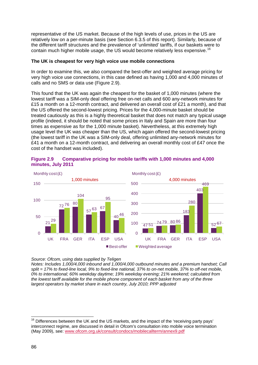representative of the US market. Because of the high levels of use, prices in the US are relatively low on a per-minute basis (see Section 6.3.5 of this report). Similarly, because of the different tariff structures and the prevalence of 'unlimited' tariffs, if our baskets were to contain much higher mobile usage, the US would become relatively less expensive.<sup>[16](#page-15-1)</sup>

## **The UK is cheapest for very high voice use mobile connections**

In order to examine this, we also compared the best-offer and weighted average pricing for very high voice use connections, in this case defined as having 1,000 and 4,000 minutes of calls and no SMS or data use [\(Figure 2.9\)](#page-15-0).

This found that the UK was again the cheapest for the basket of 1,000 minutes (where the lowest tariff was a SIM-only deal offering free on-net calls and 600 any-network minutes for £15 a month on a 12-month contract, and delivered an overall cost of £21 a month), and that the US offered the second-lowest pricing. Prices for the 4,000-minute basket should be treated cautiously as this is a highly theoretical basket that does not match any typical usage profile (indeed, it should be noted that some prices in Italy and Spain are more than four times as expensive as for the 1,000 minute basket). Nevertheless, at this extremely high usage level the UK was cheaper than the US, which again offered the second-lowest pricing (the lowest tariff in the UK was a SIM-only deal, offering unlimited any-network minutes for £41 a month on a 12-month contract, and delivering an overall monthly cost of £47 once the cost of the handset was included).



## <span id="page-15-0"></span>**Figure 2.9 Comparative pricing for mobile tariffs with 1,000 minutes and 4,000 minutes, July 2011**

#### *Source: Ofcom, using data supplied by Teligen*

*Notes: Includes 1,000/4,000 inbound and 1,000/4,000 outbound minutes and a premium handset; Call split = 17% to fixed-line local, 9% to fixed-line national, 37% to on-net mobile, 37% to off-net mobile, 0% to international; 60% weekday daytime; 19% weekday evening; 21% weekend; calculated from the lowest tariff available for the mobile phone component of each basket from any of the three largest operators by market share in each country, July 2010; PPP adjusted*

<span id="page-15-1"></span> $16$  Differences between the UK and the US markets, and the impact of the 'receiving party pays' interconnect regime, are discussed in detail in Ofcom's consultation into mobile voice termination (May 2009), see: [www.ofcom.org.uk/consult/condocs/mobilecallterm/annex9.pdf](http://www.ofcom.org.uk/consult/condocs/mobilecallterm/annex9.pdf)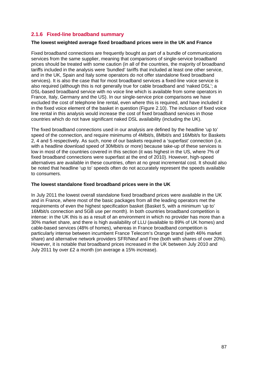## <span id="page-16-0"></span>**2.1.6 Fixed-line broadband summary**

## **The lowest weighted average fixed broadband prices were in the UK and France**

Fixed broadband connections are frequently bought as part of a bundle of communications services from the same supplier, meaning that comparisons of single-service broadband prices should be treated with some caution (in all of the countries, the majority of broadband tariffs included in the analysis were 'bundled' tariffs that included at least one other service, and in the UK, Spain and Italy some operators do not offer standalone fixed broadband services). It is also the case that for most broadband services a fixed-line voice service is also required (although this is not generally true for cable broadband and 'naked DSL'; a DSL-based broadband service with no voice line which is available from some operators in France, Italy, Germany and the US). In our single-service price comparisons we have excluded the cost of telephone line rental, even where this is required, and have included it in the fixed voice element of the basket in question [\(Figure 2.10\)](#page-17-0). The inclusion of fixed voice line rental in this analysis would increase the cost of fixed broadband services in those countries which do not have significant naked DSL availability (including the UK).

The fixed broadband connections used in our analysis are defined by the headline 'up to' speed of the connection, and require minimums of 4Mbit/s, 8Mbit/s and 16Mbit/s for Baskets 2, 4 and 5 respectively. As such, none of our baskets required a 'superfast' connection (i.e. with a headline download speed of 30Mbit/s or more) because take-up of these services is low in most of the countries covered in this section (it was highest in the US, where 7% of fixed broadband connections were superfast at the end of 2010). However, high-speed alternatives are available in these countries, often at no great incremental cost. It should also be noted that headline 'up to' speeds often do not accurately represent the speeds available to consumers.

#### **The lowest standalone fixed broadband prices were in the UK**

In July 2011 the lowest overall standalone fixed broadband prices were available in the UK and in France, where most of the basic packages from all the leading operators met the requirements of even the highest specification basket (Basket 5, with a minimum 'up to' 16Mbit/s connection and 5GB use per month). In both countries broadband competition is intense: in the UK this is as a result of an environment in which no provider has more than a 30% market share, and there is high availability of LLU (available to 89% of UK homes) and cable-based services (48% of homes), whereas in France broadband competition is particularly intense between incumbent France Telecom's Orange brand (with 46% market share) and alternative network providers SFR/Neuf and Free (both with shares of over 20%). However, it is notable that broadband prices increased in the UK between July 2010 and July 2011 by over £2 a month (on average a 15% increase).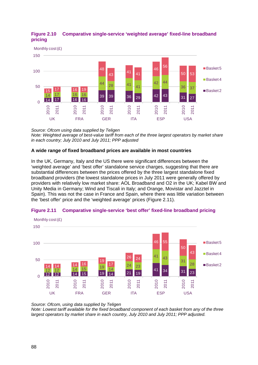

## <span id="page-17-0"></span>**Figure 2.10 Comparative single-service 'weighted average' fixed-line broadband pricing**

*Source: Ofcom using data supplied by Teligen Note: Weighted average of best-value tariff from each of the three largest operators by market share in each country; July 2010 and July 2011; PPP adjusted*

## **A wide range of fixed broadband prices are available in most countries**

In the UK, Germany, Italy and the US there were significant differences between the 'weighted average' and 'best offer' standalone service charges, suggesting that there are substantial differences between the prices offered by the three largest standalone fixed broadband providers (the lowest standalone prices in July 2011 were generally offered by providers with relatively low market share: AOL Broadband and O2 in the UK; Kabel BW and Unity Media in Germany; Wind and Tiscali in Italy; and Orange, Movistar and Jazztel in Spain). This was not the case in France and Spain, where there was little variation between the 'best offer' price and the 'weighted average' prices [\(Figure 2.11\)](#page-17-1).



## <span id="page-17-1"></span>**Figure 2.11 Comparative single-service 'best offer' fixed-line broadband pricing**

*Source: Ofcom, using data supplied by Teligen*

*Note: Lowest tariff available for the fixed broadband component of each basket from any of the three largest operators by market share in each country, July 2010 and July 2011; PPP adjusted.*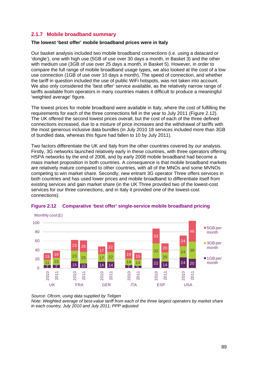## <span id="page-18-0"></span>**2.1.7 Mobile broadband summary**

### **The lowest 'best offer' mobile broadband prices were in Italy**

Our basket analysis included two mobile broadband connections (i.e. using a datacard or 'dongle'), one with high use (5GB of use over 30 days a month, in Basket 3) and the other with medium use (3GB of use over 25 days a month, in Basket 5). However, in order to compare the full range of mobile broadband usage types, we also looked at the cost of a low use connection (1GB of use over 10 days a month). The speed of connection, and whether the tariff in question included the use of public WiFi hotspots, was not taken into account. We also only considered the 'best offer' service available, as the relatively narrow range of tariffs available from operators in many countries makes it difficult to produce a meaningful 'weighted average' figure.

The lowest prices for mobile broadband were available in Italy, where the cost of fulfilling the requirements for each of the three connections fell in the year to July 2011 [\(Figure 2.12\)](#page-18-1). The UK offered the second lowest prices overall, but the cost of each of the three defined connections increased, due to a mixture of price increases and the withdrawal of tariffs with the most generous inclusive data bundles (in July 2010 18 services included more than 3GB of bundled data, whereas this figure had fallen to 10 by July 2011).

Two factors differentiate the UK and Italy from the other countries covered by our analysis. Firstly, 3G networks launched relatively early in these countries, with three operators offering HSPA networks by the end of 2006, and by early 2008 mobile broadband had become a mass market proposition in both countries. A consequence is that mobile broadband markets are relatively mature compared to other countries, with all of the MNOs and some MVNOs competing to win market share. Secondly, new entrant 3G operator Three offers services in both countries and has used lower prices and mobile broadband to differentiate itself from existing services and gain market share (in the UK Three provided two of the lowest-cost services for our three connections, and in Italy it provided one of the lowest-cost connections).



#### <span id="page-18-1"></span>**Figure 2.12 Comparative 'best offer' single-service mobile broadband pricing**

*Source: Ofcom, using data supplied by Teligen*

*Note: Weighted average of best-value tariff from each of the three largest operators by market share in each country, July 2010 and July 2011; PPP adjusted*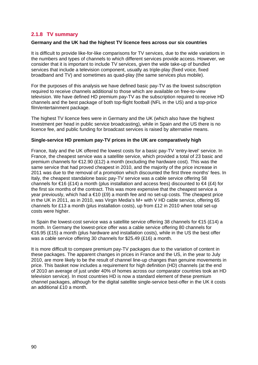## <span id="page-19-0"></span>**2.1.8 TV summary**

## **Germany and the UK had the highest TV licence fees across our six countries**

It is difficult to provide like-for-like comparisons for TV services, due to the wide variations in the numbers and types of channels to which different services provide access. However, we consider that it is important to include TV services, given the wide take-up of bundled services that include a television component, usually as triple-play (fixed voice, fixed broadband and TV) and sometimes as quad-play (the same services plus mobile).

For the purposes of this analysis we have defined basic pay-TV as the lowest subscription required to receive channels additional to those which are available on free-to-view television. We have defined HD premium pay-TV as the subscription required to receive HD channels and the best package of both top-flight football (NFL in the US) and a top-price film/entertainment package.

The highest TV licence fees were in Germany and the UK (which also have the highest investment per head in public service broadcasting), while in Spain and the US there is no licence fee, and public funding for broadcast services is raised by alternative means.

#### **Single-service HD premium pay-TV prices in the UK are comparatively high**

France, Italy and the UK offered the lowest costs for a basic pay-TV 'entry-level' service. In France, the cheapest service was a satellite service, which provided a total of 23 basic and premium channels for  $\epsilon$ 12.90 (£12) a month (excluding the hardware cost). This was the same service that had proved cheapest in 2010, and the majority of the price increase in 2011 was due to the removal of a promotion which discounted the first three months' fees. In Italy, the cheapest standalone basic pay-TV service was a cable service offering 58 channels for €16 (£14) a month (plus installation and access fees) discounted to €4 (£4) for the first six months of the contract. This was more expensive that the cheapest service a year previously, which had a  $\epsilon$ 10 (£9) a month fee and no set-up costs. The cheapest price in the UK in 2011, as in 2010, was Virgin Media's M+ with V HD cable service, offering 65 channels for £13 a month (plus installation costs), up from £12 in 2010 when total set-up costs were higher.

In Spain the lowest-cost service was a satellite service offering 38 channels for €15 (£14) a month. In Germany the lowest-price offer was a cable service offering 80 channels for €16.95 (£15) a month (plus hardware and installation costs), while in the US the best offer was a cable service offering 30 channels for \$25.49 (£16) a month.

It is more difficult to compare premium pay-TV packages due to the variation of content in these packages. The apparent changes in prices in France and the US, in the year to July 2010, are more likely to be the result of channel line-up changes than genuine movements in price. This basket now includes a requirement for high definition (HD) channels (at the end of 2010 an average of just under 40% of homes across our comparator countries took an HD television service). In most countries HD is now a standard element of these premium channel packages, although for the digital satellite single-service best-offer in the UK it costs an additional £10 a month.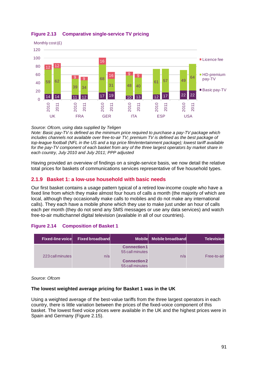

# **Figure 2.13 Comparative single-service TV pricing**

#### *Source: Ofcom, using data supplied by Teligen*

*Note: Basic pay-TV is defined as the minimum price required to purchase a pay-TV package which includes channels not available over free-to-air TV; premium TV is defined as the best package of top-league football (NFL in the US and a top price film/entertainment package); lowest tariff available for the pay-TV component of each basket from any of the three largest operators by market share in each country, July 2010 and July 2011; PPP adjusted*

Having provided an overview of findings on a single-service basis, we now detail the relative total prices for baskets of communications services representative of five household types.

## <span id="page-20-0"></span>**2.1.9 Basket 1: a low-use household with basic needs**

Our first basket contains a usage pattern typical of a retired low-income couple who have a fixed line from which they make almost four hours of calls a month (the majority of which are local, although they occasionally make calls to mobiles and do not make any international calls). They each have a mobile phone which they use to make just under an hour of calls each per month (they do not send any SMS messages or use any data services) and watch free-to-air multichannel digital television (available in all of our countries).

# **Figure 2.14 Composition of Basket 1**

| <b>Fixed-line voice</b> | <b>Fixed broadband</b> |                                                               | Mobile Mobile broadband | <b>Television</b> |
|-------------------------|------------------------|---------------------------------------------------------------|-------------------------|-------------------|
| 223 call minutes        | n/a                    | <b>Connection 1</b><br>55 call minutes<br><b>Connection 2</b> | n/a                     | Free-to-air       |
|                         |                        | 55 call minutes                                               |                         |                   |

*Source: Ofcom*

## **The lowest weighted average pricing for Basket 1 was in the UK**

Using a weighted average of the best-value tariffs from the three largest operators in each country, there is little variation between the prices of the fixed-voice component of this basket. The lowest fixed voice prices were available in the UK and the highest prices were in Spain and Germany [\(Figure 2.15\)](#page-21-0).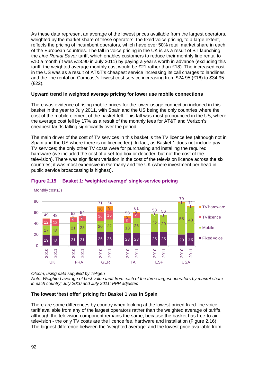As these data represent an average of the lowest prices available from the largest operators, weighted by the market share of these operators, the fixed voice pricing, to a large extent, reflects the pricing of incumbent operators, which have over 50% retail market share in each of the European countries. The fall in voice pricing in the UK is as a result of BT launching the *Line Rental Saver* tariff, which enables customers to reduce their monthly line rental to £10 a month (it was £13.90 in July 2011) by paying a year's worth in advance (excluding this tariff, the weighted average monthly cost would be £21 rather than  $£18$ ). The increased cost in the US was as a result of AT&T's cheapest service increasing its call charges to landlines and the line rental on Comcast's lowest cost service increasing from \$24.95 (£16) to \$34.95 (£22).

## **Upward trend in weighted average pricing for lower use mobile connections**

There was evidence of rising mobile prices for the lower-usage connection included in this basket in the year to July 2011, with Spain and the US being the only countries where the cost of the mobile element of the basket fell. This fall was most pronounced in the US, where the average cost fell by 17% as a result of the monthly fees for AT&T and Verizon's cheapest tariffs falling significantly over the period.

The main driver of the cost of TV services in this basket is the TV licence fee (although not in Spain and the US where there is no licence fee). In fact, as Basket 1 does not include pay-TV services; the only other TV costs were for purchasing and installing the required hardware (we included the cost of a set-top box or decoder, but not the cost of the television). There was significant variation in the cost of the television licence across the six countries; it was most expensive in Germany and the UK (where investment per head in public service broadcasting is highest).



## <span id="page-21-0"></span>**Figure 2.15 Basket 1: 'weighted average' single-service pricing**

*Ofcom, using data supplied by Teligen*

*Note: Weighted average of best-value tariff from each of the three largest operators by market share in each country; July 2010 and July 2011; PPP adjusted*

## **The lowest 'best offer' pricing for Basket 1 was in Spain**

There are some differences by country when looking at the lowest-priced fixed-line voice tariff available from any of the largest operators rather than the weighted average of tariffs, although the television component remains the same, because the basket has free-to-air television - the only TV costs are the licence fee, hardware and installation [\(Figure 2.16\)](#page-22-1). The biggest difference between the 'weighted average' and the lowest price available from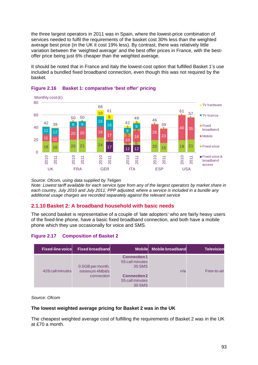the three largest operators in 2011 was in Spain, where the lowest-price combination of services needed to fulfil the requirements of the basket cost 30% less than the weighted average best price (in the UK it cost 19% less). By contrast, there was relatively little variation between the 'weighted average' and the best offer prices in France, with the bestoffer price being just 6% cheaper than the weighted average.

It should be noted that in France and Italy the lowest-cost option that fulfilled Basket 1's use included a bundled fixed broadband connection, even though this was not required by the basket.



## <span id="page-22-1"></span>**Figure 2.16 Basket 1: comparative 'best offer' pricing**

*Source: Ofcom, using data supplied by Teligen*

*Note: Lowest tariff available for each service type from any of the largest operators by market share in each country, July 2010 and July 2011; PPP adjusted; where a service is included in a bundle any additional usage charges are recorded separately against the relevant service*

## <span id="page-22-0"></span>**2.1.10 Basket 2: A broadband household with basic needs**

The second basket is representative of a couple of 'late adopters' who are fairly heavy users of the fixed-line phone, have a basic fixed broadband connection, and both have a mobile phone which they use occasionally for voice and SMS.

# **Figure 2.17 Composition of Basket 2**

| <b>Fixed-line voice</b> | <b>Fixed broadband</b>                            |                                                                                                                    | Mobile Mobile broadband | <b>Television</b> |
|-------------------------|---------------------------------------------------|--------------------------------------------------------------------------------------------------------------------|-------------------------|-------------------|
| 428 call minutes        | 0.5GB per month,<br>minimum 4Mbit/s<br>connection | <b>Connection 1</b><br>55 call minutes<br><b>30 SMS</b><br><b>Connection 2</b><br>55 call minutes<br><b>30 SMS</b> | n/a                     | Free-to-air       |

*Source: Ofcom*

## **The lowest weighted average pricing for Basket 2 was in the UK**

The cheapest weighted average cost of fulfilling the requirements of Basket 2 was in the UK at £70 a month.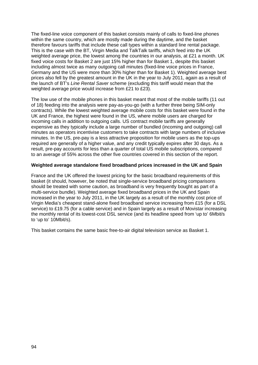The fixed-line voice component of this basket consists mainly of calls to fixed-line phones within the same country, which are mostly made during the daytime, and the basket therefore favours tariffs that include these call types within a standard line rental package. This is the case with the BT, Virgin Media and TalkTalk tariffs, which feed into the UK weighted average price, the lowest among the countries in our analysis, at £21 a month. UK fixed voice costs for Basket 2 are just 15% higher than for Basket 1, despite this basket including almost twice as many outgoing call minutes (fixed-line voice prices in France, Germany and the US were more than 30% higher than for Basket 1). Weighted average best prices also fell by the greatest amount in the UK in the year to July 2011, again as a result of the launch of BT's *Line Rental Saver* scheme (excluding this tariff would mean that the weighted average price would increase from £21 to £23).

The low use of the mobile phones in this basket meant that most of the mobile tariffs (11 out of 18) feeding into the analysis were pay-as-you-go (with a further three being SIM-only contracts). While the lowest weighted average mobile costs for this basket were found in the UK and France, the highest were found in the US, where mobile users are charged for incoming calls in addition to outgoing calls. US contract mobile tariffs are generally expensive as they typically include a large number of bundled (incoming and outgoing) call minutes as operators incentivise customers to take contracts with large numbers of inclusive minutes. In the US, pre-pay is a less attractive proposition for mobile users as the top-ups required are generally of a higher value, and any credit typically expires after 30 days. As a result, pre-pay accounts for less than a quarter of total US mobile subscriptions, compared to an average of 55% across the other five countries covered in this section of the report.

## **Weighted average standalone fixed broadband prices increased in the UK and Spain**

France and the UK offered the lowest pricing for the basic broadband requirements of this basket (it should, however, be noted that single-service broadband pricing comparisons should be treated with some caution, as broadband is very frequently bought as part of a multi-service bundle). Weighted average fixed broadband prices in the UK and Spain increased in the year to July 2011, in the UK largely as a result of the monthly cost price of Virgin Media's cheapest stand-alone fixed broadband service increasing from £15 (for a DSL service) to £19.75 (for a cable service) and in Spain largely as a result of Movistar increasing the monthly rental of its lowest-cost DSL service (and its headline speed from 'up to' 6Mbit/s to 'up to' 10Mbit/s).

This basket contains the same basic free-to-air digital television service as Basket 1.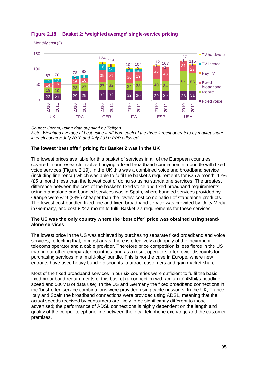

# **Figure 2.18 Basket 2: 'weighted average' single-service pricing**

Monthly cost (£)

*Source: Ofcom, using data supplied by Teligen Note: Weighted average of best-value tariff from each of the three largest operators by market share in each country; July 2010 and July 2011; PPP adjusted*

# **The lowest 'best offer' pricing for Basket 2 was in the UK**

The lowest prices available for this basket of services in all of the European countries covered in our research involved buying a fixed broadband connection in a bundle with fixed voice services [\(Figure 2.19\)](#page-25-1). In the UK this was a combined voice and broadband service (including line rental) which was able to fulfil the basket's requirements for £25 a month, 17% (£5 a month) less than the lowest cost of doing so using standalone services. The greatest difference between the cost of the basket's fixed voice and fixed broadband requirements using standalone and bundled services was in Spain, where bundled services provided by Orange were £19 (33%) cheaper than the lowest-cost combination of standalone products. The lowest cost bundled fixed-line and fixed-broadband service was provided by Unity Media in Germany, and cost £22 a month to fulfil Basket 2's requirements for these services.

## **The US was the only country where the 'best offer' price was obtained using standalone services**

The lowest price in the US was achieved by purchasing separate fixed broadband and voice services, reflecting that, in most areas, there is effectively a duopoly of the incumbent telecoms operator and a cable provider. Therefore price competition is less fierce in the US than in our other comparator countries, and as a result operators offer fewer discounts for purchasing services in a 'multi-play' bundle. This is not the case in Europe, where new entrants have used heavy bundle discounts to attract customers and gain market share.

Most of the fixed broadband services in our six countries were sufficient to fulfil the basic fixed broadband requirements of this basket (a connection with an 'up to' 4Mbit/s headline speed and 500MB of data use). In the US and Germany the fixed broadband connections in the 'best-offer' service combinations were provided using cable networks. In the UK, France, Italy and Spain the broadband connections were provided using ADSL, meaning that the actual speeds received by consumers are likely to be significantly different to those advertised; the performance of ADSL connections is highly dependent on the length and quality of the copper telephone line between the local telephone exchange and the customer premises.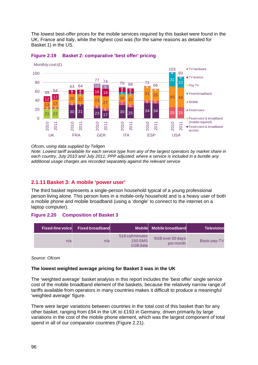The lowest best-offer prices for the mobile services required by this basket were found in the UK, France and Italy, while the highest cost was (for the same reasons as detailed for Basket 1) in the US.



#### <span id="page-25-1"></span>**Figure 2.19 Basket 2: comparative 'best offer' pricing**

#### *Ofcom, using data supplied by Teligen*

*Note: Lowest tariff available for each service type from any of the largest operators by market share in each country, July 2010 and July 2011; PPP adjusted; where a service is included in a bundle any additional usage charges are recorded separately against the relevant service*

## <span id="page-25-0"></span>**2.1.11 Basket 3: A mobile 'power user'**

The third basket represents a single-person household typical of a young professional person living alone. This person lives in a mobile-only household and is a heavy user of both a mobile phone and mobile broadband (using a 'dongle' to connect to the internet on a laptop computer).

#### **Figure 2.20 Composition of Basket 3**

| <b>Television</b> | Mobile Mobile broadband      |                                                | <b>Fixed-line voice</b> Fixed broadband |     |
|-------------------|------------------------------|------------------------------------------------|-----------------------------------------|-----|
| Basic pay-TV      | 5GB over 30 days<br>permonth | 516 call minutes<br><b>150 SMS</b><br>1GB data | n/a                                     | n/a |

#### *Source: Ofcom*

#### **The lowest weighted average pricing for Basket 3 was in the UK**

The 'weighted average' basket analysis in this report includes the 'best offer' single service cost of the mobile broadband element of the baskets, because the relatively narrow range of tariffs available from operators in many countries makes it difficult to produce a meaningful 'weighted average' figure.

There were larger variations between countries in the total cost of this basket than for any other basket, ranging from £94 in the UK to £193 in Germany, driven primarily by large variations in the cost of the mobile phone element, which was the largest component of total spend in all of our comparator countries [\(Figure 2.21\)](#page-27-0).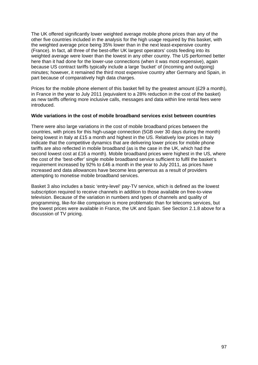The UK offered significantly lower weighted average mobile phone prices than any of the other five countries included in the analysis for the high usage required by this basket, with the weighted average price being 35% lower than in the next least-expensive country (France). In fact, all three of the best-offer UK largest operators' costs feeding into its weighted average were lower than the lowest in any other country. The US performed better here than it had done for the lower-use connections (when it was most expensive), again because US contract tariffs typically include a large 'bucket' of (incoming and outgoing) minutes; however, it remained the third most expensive country after Germany and Spain, in part because of comparatively high data charges.

Prices for the mobile phone element of this basket fell by the greatest amount (£29 a month). in France in the year to July 2011 (equivalent to a 28% reduction in the cost of the basket) as new tariffs offering more inclusive calls, messages and data within line rental fees were introduced.

## **Wide variations in the cost of mobile broadband services exist between countries**

There were also large variations in the cost of mobile broadband prices between the countries, with prices for this high-usage connection (5GB over 30 days during the month) being lowest in Italy at £15 a month and highest in the US. Relatively low prices in Italy indicate that the competitive dynamics that are delivering lower prices for mobile phone tariffs are also reflected in mobile broadband (as is the case in the UK, which had the second lowest cost at £16 a month). Mobile broadband prices were highest in the US, where the cost of the 'best-offer' single mobile broadband service sufficient to fulfil the basket's requirement increased by 92% to £46 a month in the year to July 2011, as prices have increased and data allowances have become less generous as a result of providers attempting to monetise mobile broadband services.

Basket 3 also includes a basic 'entry-level' pay-TV service, which is defined as the lowest subscription required to receive channels in addition to those available on free-to-view television. Because of the variation in numbers and types of channels and quality of programming, like-for-like comparison is more problematic than for telecoms services, but the lowest prices were available in France, the UK and Spain. See Section [2.1.8](#page-19-0) above for a discussion of TV pricing.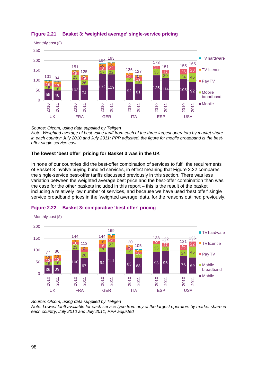

## <span id="page-27-0"></span>**Figure 2.21 Basket 3: 'weighted average' single-service pricing**

*Source: Ofcom, using data supplied by Teligen*

*Note: Weighted average of best-value tariff from each of the three largest operators by market share in each country; July 2010 and July 2011; PPP adjusted; the figure for mobile broadband is the bestoffer single service cost*

## **The lowest 'best offer' pricing for Basket 3 was in the UK**

In none of our countries did the best-offer combination of services to fulfil the requirements of Basket 3 involve buying bundled services, in effect meaning that [Figure 2.22](#page-27-1) compares the single-service best-offer tariffs discussed previously in this section. There was less variation between the weighted average best price and the best-offer combination than was the case for the other baskets included in this report – this is the result of the basket including a relatively low number of services, and because we have used 'best offer' single service broadband prices in the 'weighted average' data, for the reasons outlined previously.



## <span id="page-27-1"></span>**Figure 2.22 Basket 3: comparative 'best offer' pricing**

*Source: Ofcom, using data supplied by Teligen Note: Lowest tariff available for each service type from any of the largest operators by market share in* 

*each country, July 2010 and July 2011; PPP adjusted*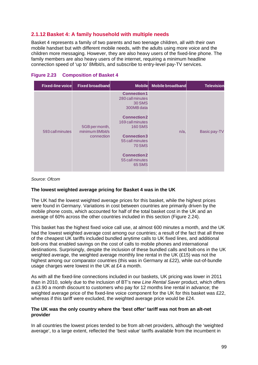## <span id="page-28-0"></span>**2.1.12 Basket 4: A family household with multiple needs**

Basket 4 represents a family of two parents and two teenage children, all with their own mobile handset but with different mobile needs, with the adults using more voice and the children more messaging. However, they are also heavy users of the fixed-line phone. The family members are also heavy users of the internet, requiring a minimum headline connection speed of 'up to' 8Mbit/s, and subscribe to entry-level pay-TV services.

| <b>Fixed-line voice</b> | <b>Fixed broadband</b>                          | <b>Mobile</b>                                                                                                                                                                                                                                            | Mobile broadband | <b>Television</b> |
|-------------------------|-------------------------------------------------|----------------------------------------------------------------------------------------------------------------------------------------------------------------------------------------------------------------------------------------------------------|------------------|-------------------|
| 593 call minutes        | 5GB per month,<br>minimum 8Mbit/s<br>connection | <b>Connection1</b><br>280 call minutes<br><b>30 SMS</b><br>300MB data<br><b>Connection 2</b><br>169 call minutes<br><b>160 SMS</b><br><b>Connection 3</b><br>55 call minutes<br><b>70 SMS</b><br><b>Connection 2</b><br>55 call minutes<br><b>65 SMS</b> | $n/a$ ,          | Basic pay-TV      |

## **Figure 2.23 Composition of Basket 4**

#### *Source: Ofcom*

## **The lowest weighted average pricing for Basket 4 was in the UK**

The UK had the lowest weighted average prices for this basket, while the highest prices were found in Germany. Variations in cost between countries are primarily driven by the mobile phone costs, which accounted for half of the total basket cost in the UK and an average of 60% across the other countries included in this section [\(Figure 2.24\)](#page-29-0).

This basket has the highest fixed voice call use, at almost 600 minutes a month, and the UK had the lowest weighted average cost among our countries; a result of the fact that all three of the cheapest UK tariffs included bundled anytime calls to UK fixed lines, and additional bolt-ons that enabled savings on the cost of calls to mobile phones and international destinations. Surprisingly, despite the inclusion of these bundled calls and bolt-ons in the UK weighted average, the weighted average monthly line rental in the UK (£15) was not the highest among our comparator countries (this was in Germany at £22), while out-of-bundle usage charges were lowest in the UK at £4 a month.

As with all the fixed-line connections included in our baskets, UK pricing was lower in 2011 than in 2010, solely due to the inclusion of BT's new *Line Rental Saver* product, which offers a £3.90 a month discount to customers who pay for 12 months line rental in advance; the weighted average price of the fixed-line voice component for the UK for this basket was £22. whereas if this tariff were excluded, the weighted average price would be £24.

#### **The UK was the only country where the 'best offer' tariff was not from an alt-net provider**

In all countries the lowest prices tended to be from alt-net providers, although the 'weighted average', to a large extent, reflected the 'best value' tariffs available from the incumbent in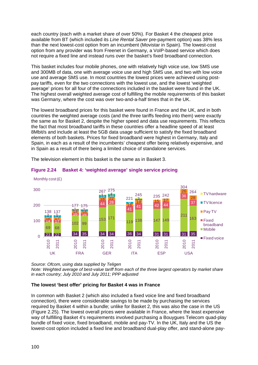each country (each with a market share of over 50%). For Basket 4 the cheapest price available from BT (which included its *Line Rental Saver* pre-payment option) was 38% less than the next lowest-cost option from an incumbent (Movistar in Spain). The lowest-cost option from any provider was from Freenet in Germany, a VoIP-based service which does not require a fixed line and instead runs over the basket's fixed broadband connection.

This basket includes four mobile phones, one with relatively high voice use, low SMS use and 300MB of data, one with average voice use and high SMS use, and two with low voice use and average SMS use. In most countries the lowest prices were achieved using postpay tariffs, even for the two connections with the lowest use, and the lowest 'weighted average' prices for all four of the connections included in the basket were found in the UK. The highest overall weighted average cost of fulfilling the mobile requirements of this basket was Germany, where the cost was over two-and-a-half times that in the UK.

The lowest broadband prices for this basket were found in France and the UK, and in both countries the weighted average costs (and the three tariffs feeding into them) were exactly the same as for Basket 2, despite the higher speed and data use requirements. This reflects the fact that most broadband tariffs in these countries offer a headline speed of at least 8Mbit/s and include at least the 5GB data usage sufficient to satisfy the fixed broadband elements of both baskets. Prices for fixed broadband were highest in Germany, Italy and Spain, in each as a result of the incumbents' cheapest offer being relatively expensive, and in Spain as a result of there being a limited choice of standalone services.

The television element in this basket is the same as in Basket 3.



## <span id="page-29-0"></span>**Figure 2.24 Basket 4: 'weighted average' single service pricing**

*Source: Ofcom, using data supplied by Teligen*

*Note: Weighted average of best-value tariff from each of the three largest operators by market share in each country; July 2010 and July 2011; PPP adjusted*

## **The lowest 'best offer' pricing for Basket 4 was in France**

In common with Basket 2 (which also included a fixed voice line and fixed broadband connection), there were considerable savings to be made by purchasing the services required by Basket 4 within a bundle; unlike for Basket 2, this was also the case in the US [\(Figure 2.25\)](#page-30-1). The lowest overall prices were available in France, where the least expensive way of fulfilling Basket 4's requirements involved purchasing a Bouygues Telecom quad-play bundle of fixed voice, fixed broadband, mobile and pay-TV. In the UK, Italy and the US the lowest-cost option included a fixed line and broadband dual-play offer, and stand-alone pay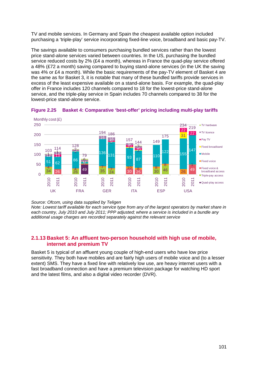TV and mobile services. In Germany and Spain the cheapest available option included purchasing a 'triple-play' service incorporating fixed-line voice, broadband and basic pay-TV.

The savings available to consumers purchasing bundled services rather than the lowest price stand-alone services varied between countries. In the US, purchasing the bundled service reduced costs by 2% (£4 a month), whereas in France the quad-play service offered a 48% (£72 a month) saving compared to buying stand-alone services (in the UK the saving was 4% or £4 a month). While the basic requirements of the pay-TV element of Basket 4 are the same as for Basket 3, it is notable that many of these bundled tariffs provide services in excess of the least expensive available on a stand-alone basis. For example, the quad-play offer in France includes 120 channels compared to 18 for the lowest-price stand-alone service, and the triple-play service in Spain includes 70 channels compared to 38 for the lowest-price stand-alone service.



<span id="page-30-1"></span>

*Note: Lowest tariff available for each service type from any of the largest operators by market share in each country, July 2010 and July 2011; PPP adjusted; where a service is included in a bundle any additional usage charges are recorded separately against the relevant service*

## <span id="page-30-0"></span>**2.1.13 Basket 5: An affluent two-person household with high use of mobile, internet and premium TV**

Basket 5 is typical of an affluent young couple of high-end users who have low price sensitivity. They both have mobiles and are fairly high users of mobile voice and (to a lesser extent) SMS. They have a fixed line with relatively low use, are heavy internet users with a fast broadband connection and have a premium television package for watching HD sport and the latest films, and also a digital video recorder (DVR).

*Source: Ofcom, using data supplied by Teligen*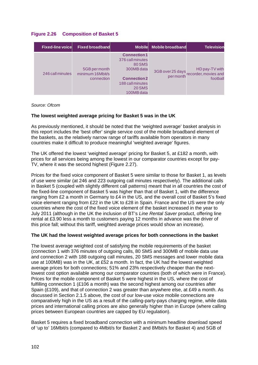## **Figure 2.26 Composition of Basket 5**

| <b>Fixed-line voice</b> | <b>Fixed broadband</b>                          |                                                                                                                                                  | Mobile Mobile broadband | <b>Television</b>                                    |
|-------------------------|-------------------------------------------------|--------------------------------------------------------------------------------------------------------------------------------------------------|-------------------------|------------------------------------------------------|
| 246 call minutes        | 5GB per month<br>minimum 16Mbit/s<br>connection | <b>Connection 1</b><br>376 call minutes<br><b>80 SMS</b><br>300MB data<br><b>Connection 2</b><br>188 call minutes<br><b>20 SMS</b><br>100MB data | 3GB over 25 days        | HD pay-TV with<br>per month<br>per month<br>football |

*Source: Ofcom*

## **The lowest weighted average pricing for Basket 5 was in the UK**

As previously mentioned, it should be noted that the 'weighted average' basket analysis in this report includes the 'best offer' single service cost of the mobile broadband element of the baskets, as the relatively narrow range of tariffs available from operators in many countries make it difficult to produce meaningful 'weighted average' figures.

The UK offered the lowest 'weighted average' pricing for Basket 5, at £182 a month, with prices for all services being among the lowest in our comparator countries except for pay-TV, where it was the second highest [\(Figure 2.27\)](#page-32-0).

Prices for the fixed voice component of Basket 5 were similar to those for Basket 1, as levels of use were similar (at 246 and 223 outgoing call minutes respectively). The additional calls in Basket 5 (coupled with slightly different call patterns) meant that in all countries the cost of the fixed-line component of Basket 5 was higher than that of Basket 1, with the difference ranging from £2 a month in Germany to £4 in the US, and the overall cost of Basket 5's fixed voice element ranging from £22 in the UK to £28 in Spain. France and the US were the only countries where the cost of the fixed voice element of the basket increased in the year to July 2011 (although in the UK the inclusion of BT's *Line Rental Saver* product, offering line rental at £3.90 less a month to customers paying 12 months in advance was the driver of this price fall; without this tariff, weighted average prices would show an increase).

## **The UK had the lowest weighted average prices for both connections in the basket**

The lowest average weighted cost of satisfying the mobile requirements of the basket (connection 1 with 376 minutes of outgoing calls, 80 SMS and 300MB of mobile data use and connection 2 with 188 outgoing call minutes, 20 SMS messages and lower mobile data use at 100MB) was in the UK, at £52 a month. In fact, the UK had the lowest weighted average prices for both connections; 51% and 23% respectively cheaper than the nextlowest cost option available among our comparator countries (both of which were in France). Prices for the mobile component of Basket 5 were highest in the US, where the cost of fulfilling connection 1 (£106 a month) was the second highest among our countries after Spain (£109), and that of connection 2 was greater than anywhere else, at £49 a month. As discussed in Section [2.1.5](#page-11-0) above, the cost of our low-use voice mobile connections are comparatively high in the US as a result of the calling-party-pays charging regime, while data prices and international calling prices are also generally higher than in Europe (where calling prices between European countries are capped by EU regulation).

Basket 5 requires a fixed broadband connection with a minimum headline download speed of 'up to' 16Mbit/s (compared to 4Mbit/s for Basket 2 and 8Mbit/s for Basket 4) and 5GB of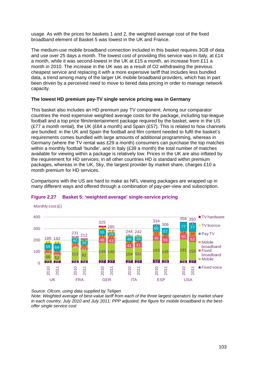usage. As with the prices for baskets 1 and 2, the weighted average cost of the fixed broadband element of Basket 5 was lowest in the UK and France.

The medium-use mobile broadband connection included in this basket requires 3GB of data and use over 25 days a month. The lowest cost of providing this service was in Italy, at £14 a month, while it was second-lowest in the UK at £15 a month, an increase from £11 a month in 2010. The increase in the UK was as a result of O2 withdrawing the previous cheapest service and replacing it with a more expensive tariff that includes less bundled data, a trend among many of the larger UK mobile broadband providers, which has in part been driven by a perceived need to move to tiered data pricing in order to manage network capacity.

## **The lowest HD premium pay-TV single service pricing was in Germany**

This basket also includes an HD premium pay TV component. Among our comparator countries the most expensive weighted average costs for the package, including top-league football and a top price film/entertainment package required by the basket, were in the US (£77 a month rental), the UK (£64 a month) and Spain (£57). This is related to how channels are bundled: in the UK and Spain the football and film content needed to fulfil the basket's requirements comes bundled with large amounts of additional programming, whereas in Germany (where the TV rental was £29 a month) consumers can purchase the top matches within a monthly football 'bundle', and in Italy (£39 a month) the total number of matches available for viewing within a package is relatively low. Prices in the UK are also inflated by the requirement for HD services; in all other countries HD is standard within premium packages, whereas in the UK, Sky, the largest provider by market share, charges £10 a month premium for HD services.

Comparisons with the US are hard to make as NFL viewing packages are wrapped up in many different ways and offered through a combination of pay-per-view and subscription.



## <span id="page-32-0"></span>**Figure 2.27 Basket 5: 'weighted average' single-service pricing**

*Source: Ofcom, using data supplied by Teligen*

*Note: Weighted average of best-value tariff from each of the three largest operators by market share in each country; July 2010 and July 2011; PPP adjusted; the figure for mobile broadband is the bestoffer single service cost*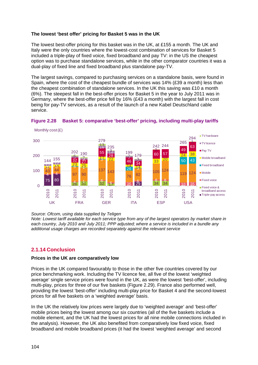## **The lowest 'best offer' pricing for Basket 5 was in the UK**

The lowest best-offer pricing for this basket was in the UK, at £155 a month. The UK and Italy were the only countries where the lowest-cost combination of services for Basket 5 included a triple-play of fixed voice, fixed broadband and pay TV: in the US the cheapest option was to purchase standalone services, while in the other comparator countries it was a dual-play of fixed line and fixed broadband plus standalone pay-TV.

The largest savings, compared to purchasing services on a standalone basis, were found in Spain, where the cost of the cheapest bundle of services was 14% (£39 a month) less than the cheapest combination of standalone services. In the UK this saving was £10 a month (6%). The steepest fall in the best-offer prices for Basket 5 in the year to July 2011 was in Germany, where the best-offer price fell by 16% (£43 a month) with the largest fall in cost being for pay-TV services, as a result of the launch of a new Kabel Deutschland cable service.





*Source: Ofcom, using data supplied by Teligen*

*Note: Lowest tariff available for each service type from any of the largest operators by market share in each country, July 2010 and July 2011; PPP adjusted; where a service is included in a bundle any additional usage charges are recorded separately against the relevant service*

# <span id="page-33-0"></span>**2.1.14 Conclusion**

## **Prices in the UK are comparatively low**

Prices in the UK compared favourably to those in the other five countries covered by our price benchmarking work. Including the TV licence fee, all five of the lowest 'weighted average' single service prices were found in the UK, as were the lowest 'best-offer', including multi-play, prices for three of our five baskets [\(Figure 2.29\)](#page-34-0). France also performed well, providing the lowest 'best-offer' including multi-play price for Basket 4 and the second-lowest prices for all five baskets on a 'weighted average' basis.

In the UK the relatively low prices were largely due to 'weighted average' and 'best-offer' mobile prices being the lowest among our six countries (all of the five baskets include a mobile element, and the UK had the lowest prices for all nine mobile connections included in the analysis). However, the UK also benefited from comparatively low fixed voice, fixed broadband and mobile broadband prices (it had the lowest 'weighted average' and second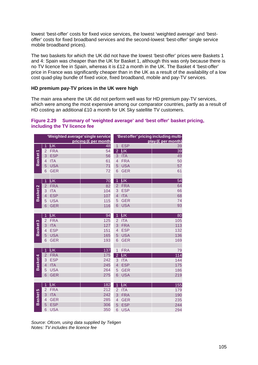lowest 'best-offer' costs for fixed voice services, the lowest 'weighted average' and 'bestoffer' costs for fixed broadband services and the second-lowest 'best-offer' single service mobile broadband prices).

The two baskets for which the UK did not have the lowest 'best-offer' prices were Baskets 1 and 4: Spain was cheaper than the UK for Basket 1, although this was only because there is no TV licence fee in Spain, whereas it is £12 a month in the UK. The Basket 4 'best-offer' price in France was significantly cheaper than in the UK as a result of the availability of a low cost quad-play bundle of fixed voice, fixed broadband, mobile and pay-TV services.

## **HD premium pay-TV prices in the UK were high**

The main area where the UK did not perform well was for HD premium pay-TV services, which were among the most expensive among our comparator countries, partly as a result of HD costing an additional £10 a month for UK Sky satellite TV customers.

## <span id="page-34-0"></span>**Figure 2.29 Summary of 'weighted average' and 'best offer' basket pricing, including the TV licence fee**

| 'Weighted average' single service |                |            |                      |                | 'Best offer' pricing including multi- |                    |
|-----------------------------------|----------------|------------|----------------------|----------------|---------------------------------------|--------------------|
|                                   |                |            | pricing (£ per month |                |                                       | play (£ per month) |
|                                   | $\overline{1}$ | UK         | 48                   | $\overline{1}$ | <b>ESP</b>                            | 39                 |
|                                   | $\overline{2}$ | <b>FRA</b> | 54                   | $\overline{2}$ | IJΚ                                   | 39                 |
| Basket1                           | 3              | <b>ESP</b> | 56                   | 3              | <b>ITA</b>                            | 49                 |
|                                   | $\overline{4}$ | <b>ITA</b> | 61                   | $\overline{4}$ | <b>FRA</b>                            | 50                 |
|                                   | 5              | <b>USA</b> | 71                   | 5              | <b>USA</b>                            | 57                 |
|                                   | 6              | <b>GER</b> | 72                   | 6              | <b>GER</b>                            | 61                 |
|                                   |                |            |                      |                |                                       |                    |
|                                   | $\overline{1}$ | UK         | $\overline{70}$      | $\overline{1}$ | UK                                    | 54                 |
|                                   | $\overline{2}$ | <b>FRA</b> | 82                   | $\overline{2}$ | <b>FRA</b>                            | 64                 |
| Basket <sub>2</sub>               | 3              | <b>ITA</b> | 104                  | 3              | <b>ESP</b>                            | 66                 |
|                                   | $\overline{4}$ | <b>ESP</b> | 107                  | $\overline{4}$ | <b>ITA</b>                            | 68                 |
|                                   | 5              | <b>USA</b> | 115                  | 5              | <b>GER</b>                            | 74                 |
|                                   | 6              | <b>GER</b> | 116                  | $\overline{6}$ | <b>USA</b>                            | 93                 |
|                                   |                |            |                      |                |                                       |                    |
|                                   | $\overline{1}$ | UK         | $\overline{94}$      | $\overline{1}$ | UK                                    | 80                 |
|                                   | $\overline{2}$ | <b>FRA</b> | 125                  | $\overline{2}$ | <b>ITA</b>                            | 105                |
| Basket <sub>3</sub>               | 3              | <b>ITA</b> | 127                  | 3              | <b>FRA</b>                            | 113                |
|                                   | $\overline{4}$ | <b>ESP</b> | 151                  | $\overline{4}$ | <b>ESP</b>                            | 132                |
|                                   | 5              | <b>USA</b> | 165                  | 5              | <b>USA</b>                            | 136                |
|                                   | 6              | <b>GER</b> | 193                  | 6              | <b>GER</b>                            | 169                |
|                                   |                |            |                      |                |                                       |                    |
|                                   | $\overline{1}$ | ŪΚ         | 137                  | $\overline{1}$ | <b>FRA</b>                            | 79                 |
|                                   | $\overline{2}$ | <b>FRA</b> | 175                  | $\overline{2}$ | UK                                    | 114                |
|                                   | 3              | <b>ESP</b> | 242                  | 3              | <b>ITA</b>                            | 144                |
| Basket 4                          | $\overline{4}$ | <b>ITA</b> | 245                  | $\overline{4}$ | <b>ESP</b>                            | 175                |
|                                   | 5              | <b>USA</b> | 264                  | 5              | <b>GER</b>                            | 186                |
|                                   | $\overline{6}$ | <b>GER</b> | 275                  | $\overline{6}$ | <b>USA</b>                            | 219                |
|                                   |                |            |                      |                |                                       |                    |
|                                   | $\overline{1}$ | UK         | 182                  | $\overline{1}$ | UK                                    | 155                |
|                                   | $\overline{2}$ | <b>FRA</b> | 212                  | $\overline{2}$ | <b>ITA</b>                            | 179                |
|                                   | 3              | <b>ITA</b> | 242                  | 3              | <b>FRA</b>                            | 190                |
| Basket 5                          | $\overline{4}$ | <b>GER</b> | 285                  | $\overline{4}$ | <b>GER</b>                            | 235                |
|                                   | 5              | <b>ESP</b> | 306                  | 5              | <b>ESP</b>                            | 244                |
|                                   | 6              | <b>USA</b> | 350                  | 6              | <b>USA</b>                            | 294                |

*Source: Ofcom, using data supplied by Teligen Notes: TV includes the licence fee*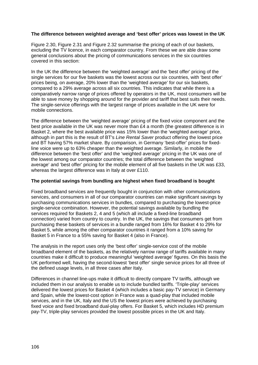## **The difference between weighted average and 'best offer' prices was lowest in the UK**

[Figure 2.30,](#page-36-0) [Figure 2.31](#page-36-1) and [Figure 2.32](#page-37-0) summarise the pricing of each of our baskets, excluding the TV licence, in each comparator country. From these we are able draw some general conclusions about the pricing of communications services in the six countries covered in this section:

In the UK the difference between the 'weighted average' and the 'best offer' pricing of the single services for our five baskets was the lowest across our six countries, with 'best offer' prices being, on average, 20% lower than the 'weighted average' for our six baskets, compared to a 29% average across all six countries. This indicates that while there is a comparatively narrow range of prices offered by operators in the UK, most consumers will be able to save money by shopping around for the provider and tariff that best suits their needs. The single-service offerings with the largest range of prices available in the UK were for mobile connections.

The difference between the 'weighted average' pricing of the fixed voice component and the best price available in the UK was never more than £4 a month (the greatest difference is in Basket 2, where the best available price was 15% lower than the 'weighted average' price, although in part this is the result of BT's *Line Rental Saver* product offering the lowest price and BT having 57% market share. By comparison, in Germany 'best-offer' prices for fixedline voice were up to 63% cheaper than the weighted average. Similarly, in mobile the difference between the 'best offer' and the 'weighted average' pricing in the UK was one of the lowest among our comparator countries; the total difference between the 'weighted average' and 'best offer' pricing for the mobile element of all five baskets in the UK was £33, whereas the largest difference was in Italy at over £110.

#### **The potential savings from bundling are highest when fixed broadband is bought**

Fixed broadband services are frequently bought in conjunction with other communications services, and consumers in all of our comparator countries can make significant savings by purchasing communications services in bundles, compared to purchasing the lowest-price single-service combination. However, the potential savings available by bundling the services required for Baskets 2, 4 and 5 (which all include a fixed-line broadband connection) varied from country to country. In the UK, the savings that consumers get from purchasing these baskets of services in a bundle ranged from 16% for Basket 4 to 29% for Basket 5, while among the other comparator countries it ranged from a 10% saving for Basket 5 in France to a 55% saving for Basket 4 (also in France).

The analysis in the report uses only the 'best offer' single-service cost of the mobile broadband element of the baskets, as the relatively narrow range of tariffs available in many countries make it difficult to produce meaningful 'weighted average' figures. On this basis the UK performed well, having the second-lowest 'best offer' single service prices for all three of the defined usage levels, in all three cases after Italy.

Differences in channel line-ups make it difficult to directly compare TV tariffs, although we included them in our analysis to enable us to include bundled tariffs. 'Triple-play' services delivered the lowest prices for Basket 4 (which includes a basic pay-TV service) in Germany and Spain, while the lowest-cost option in France was a quad-play that included mobile services, and in the UK, Italy and the US the lowest prices were achieved by purchasing fixed voice and fixed broadband dual-play offers. For Basket 5, which includes HD premium pay-TV, triple-play services provided the lowest possible prices in the UK and Italy.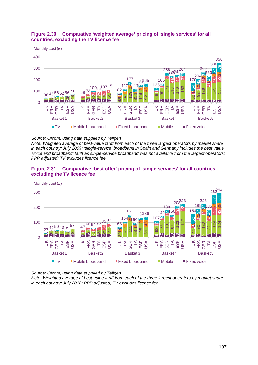## <span id="page-36-0"></span>**Figure 2.30 Comparative 'weighted average' pricing of 'single services' for all countries, excluding the TV licence fee**



#### *Source: Ofcom, using data supplied by Teligen*

*Note: Weighted average of best-value tariff from each of the three largest operators by market share in each country; July 2009; 'single-service' broadband in Spain and Germany includes the best value 'voice and broadband' tariff as single-service broadband was not available from the largest operators; PPP adjusted; TV excludes licence fee*

<span id="page-36-1"></span>



*Source: Ofcom, using data supplied by Teligen*

*Note: Weighted average of best-value tariff from each of the three largest operators by market share in each country; July 2010; PPP adjusted; TV excludes licence fee*